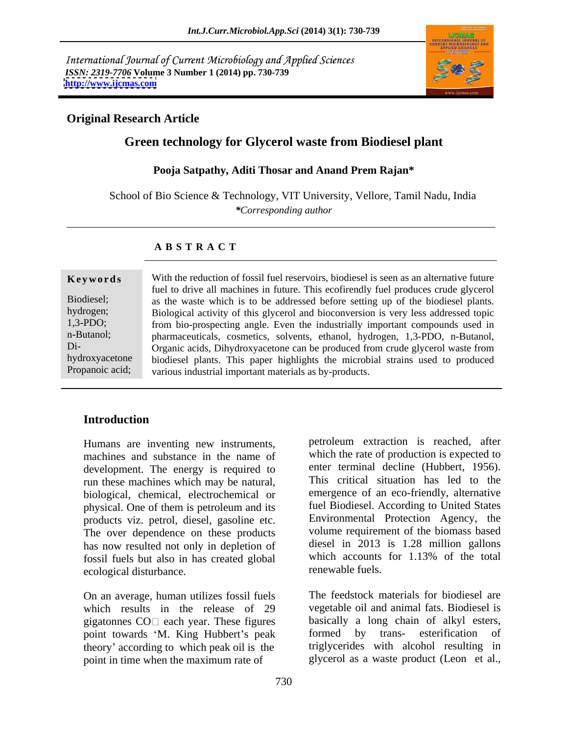International Journal of Current Microbiology and Applied Sciences *ISSN: 2319-7706* **Volume 3 Number 1 (2014) pp. 730-739 <http://www.ijcmas.com>**



## **Original Research Article**

# **Green technology for Glycerol waste from Biodiesel plant**

### **Pooja Satpathy, Aditi Thosar and Anand Prem Rajan\***

School of Bio Science & Technology, VIT University, Vellore, Tamil Nadu, India *\*Corresponding author*

## **A B S T R A C T**

**Keywords** With the reduction of fossil fuel reservoirs, biodiesel is seen as an alternative future Biodiesel; as the waste which is to be addressed before setting up of the biodiesel plants. hydrogen; Biological activity of this glycerol and bioconversion is very less addressed topic 1,3-PDO; from bio-prospecting angle. Even the industrially important compounds used in n-Butanol; pharmaceuticals, cosmetics, solvents, ethanol, hydrogen, 1,3-PDO, n-Butanol, Di- Organic acids, Dihydroxyacetone can be produced from crude glycerol waste from hydroxyacetone biodiesel plants. This paper highlights the microbial strains used to produced Propanoic acid; various industrial important materials as by-products. fuel to drive all machines in future. This ecofirendly fuel produces crude glycerol

## **Introduction**

Humans are inventing new instruments, machines and substance in the name of development. The energy is required to run these machines which may be natural, biological, chemical, electrochemical or physical. One of them is petroleum and its products viz. petrol, diesel, gasoline etc. The over dependence on these products has now resulted not only in depletion of diesel in 2013 is 1.28 million gallons for the total has created global which accounts for 1.13% of the total fossil fuels but also in has created global ecological disturbance.

On an average, human utilizes fossil fuels which results in the release of 29 gigatonnes  $CO\Box$  each year. These figures point towards 'M. King Hubbert's peak formed by trans-esterification of theory' according to which peak oil is the point in time when the maximum rate of

petroleum extraction is reached, after which the rate of production is expected to enter terminal decline (Hubbert, 1956). This critical situation has led to the emergence of an eco-friendly, alternative fuel Biodiesel. According to United States Environmental Protection Agency, the volume requirement of the biomass based diesel in 2013 is 1.28 million gallons which accounts for 1.13% of the total renewable fuels.

The feedstock materials for biodiesel are vegetable oil and animal fats. Biodiesel is basically a long chain of alkyl esters, formed by trans- esterification triglycerides with alcohol resulting in glycerol as a waste product (Leon et al.,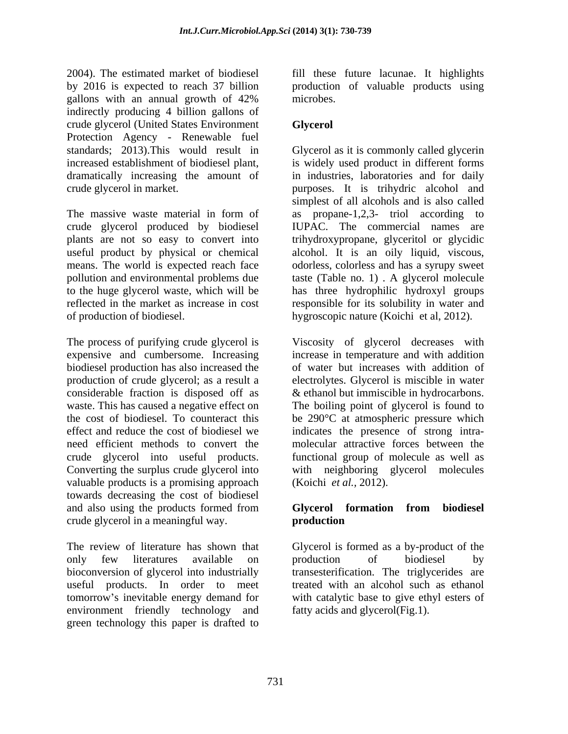2004). The estimated market of biodiesel fill these future lacunae. It highlights by 2016 is expected to reach 37 billion by production of valuable products using gallons with an annual growth of 42% microbes. indirectly producing 4 billion gallons of crude glycerol (United States Environment Protection Agency - Renewable fuel dramatically increasing the amount of

plants are not so easy to convert into

The process of purifying crude glycerol is Viscosity of glycerol decreases with expensive and cumbersome. Increasing increase in temperature and with addition biodiesel production has also increased the production of crude glycerol; as a result a electrolytes. Glycerol is miscible in water considerable fraction is disposed off as & ethanol but immiscible in hydrocarbons. waste. This has caused a negative effect on The boiling point of glycerol is found to the cost of biodiesel. To counteract this be 290°C at atmospheric pressure which effect and reduce the cost of biodiesel we indicates the presence of strong intra need efficient methods to convert the molecular attractive forces between the crude glycerol into useful products. functional group of molecule as well as<br>Converting the surplus crude glycerol into with neighboring glycerol molecules valuable products is a promising approach towards decreasing the cost of biodiesel and also using the products formed from Glycerol formation from biodiesel crude glycerol in a meaningful way.

The review of literature has shown that Glycerol is formed as a by-product of the only few literatures available on production of biodiesel by bioconversion of glycerol into industrially useful products. In order to meet tomorrow's inevitable energy demand for environment friendly technology and green technology this paper is drafted to

microbes.

## **Glycerol**

standards; 2013).This would result in Glycerol as it is commonly called glycerin increased establishment of biodiesel plant, is widely used product in different forms crude glycerol in market. purposes. It is trihydric alcohol and The massive waste material in form of as propane-1,2,3- triol according to crude glycerol produced by biodiesel IUPAC. The commercial names are useful product by physical or chemical alcohol. It is an oily liquid, viscous, means. The world is expected reach face odorless, colorless and has a syrupy sweet pollution and environmental problems due taste (Table no. 1) . A glycerol molecule to the huge glycerol waste, which will be has three hydrophilic hydroxyl groups reflected in the market as increase in cost responsible for its solubility in water and of production of biodiesel. hygroscopic nature (Koichi et al, 2012). in industries, laboratories and for daily simplest of all alcohols and is also called trihydroxypropane, glyceritol or glycidic

> of water but increases with addition of functional group of molecule as well as with neighboring glycerol molecules (Koichi *et al.,* 2012).

## **Glycerol formation from biodiesel production**

production of biodiesel by transesterification. The triglycerides are treated with an alcohol such as ethanol with catalytic base to give ethyl esters of fatty acids and glycerol(Fig.1).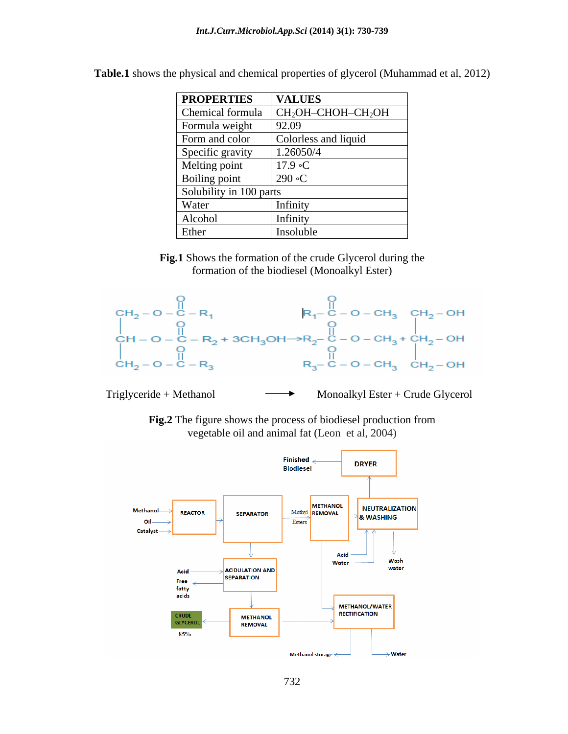| <b>VALUES</b>                                                       |
|---------------------------------------------------------------------|
| Chemical formula $\vert$ CH <sub>2</sub> OH–CHOH–CH <sub>2</sub> OH |
| 92.09                                                               |
| Colorless and liquid                                                |
| 1.26050/4                                                           |
| $17.9 \text{ }^{\circ}C$                                            |
| $\mid$ 290 °C                                                       |
| Solubility in 100 parts                                             |
| Infinity                                                            |
| Infinity                                                            |
| Insoluble                                                           |
|                                                                     |

**Table.1** shows the physical and chemical properties of glycerol (Muhammad et al, 2012)

**Fig.1** Shows the formation of the crude Glycerol during the formation of the biodiesel (Monoalkyl Ester)



Triglyceride + Methanol  $\longrightarrow$  Monoalkyl Ester + Crude Glycerol

**Fig.2** The figure shows the process of biodiesel production from vegetable oil and animal fat (Leon et al, 2004)

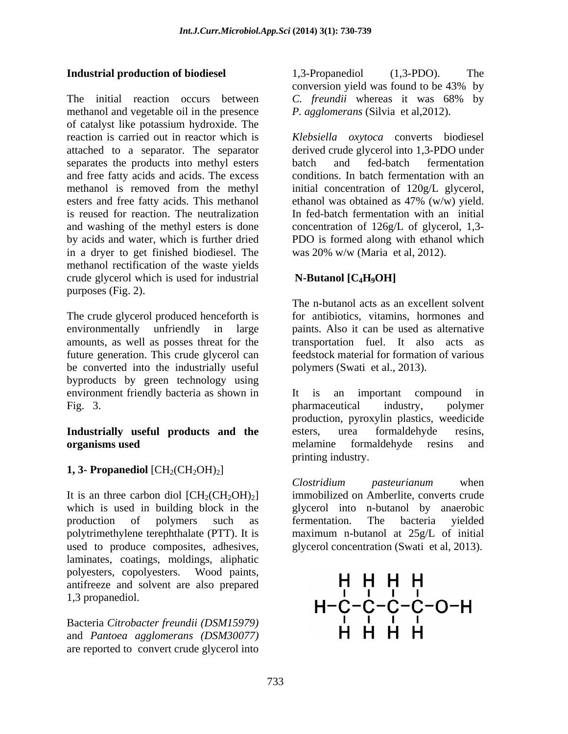The initial reaction occurs between C. freundi whereas it was 68% by methanol and vegetable oil in the presence of catalyst like potassium hydroxide. The reaction is carried out in reactor which is *Klebsiella oxytoca* converts biodiesel attached to a separator. The separator derived crude glycerol into 1,3-PDO under separates the products into methyl esters batch and fed-batch fermentation and free fatty acids and acids. The excess conditions. In batch fermentation with an methanol is removed from the methyl initial concentration of 120g/L glycerol, esters and free fatty acids. This methanol ethanol was obtained as 47% (w/w) yield. is reused for reaction. The neutralization In fed-batch fermentation with an initial and washing of the methyl esters is done concentration of 126g/L of glycerol, 1,3 by acids and water, which is further dried PDO is formed along with ethanol which in a dryer to get finished biodiesel. The methanol rectification of the waste yields crude glycerol which is used for industrial purposes (Fig. 2).

The crude glycerol produced henceforth is environmentally unfriendly in large paints. Also it can be used as alternative amounts, as well as posses threat for the transportation fuel. It also acts as future generation. This crude glycerol can be converted into the industrially useful byproducts by green technology using environment friendly bacteria as shown in It is an important compound in Fig. 3. between pharmaceutical industry, polymer

# **Industrially useful products and the**

# **1, 3- Propanediol**  $\text{[CH}_2(\text{CH}_2\text{OH})_2$

It is an three carbon diol  $\text{[CH}_2\text{CH}_2\text{OH})_2$ ] polytrimethylene terephthalate (PTT). It is used to produce composites, adhesives, glycerol concentration (Swati et al, 2013).<br>laminates, coatings, moldings, aliphatic polyesters, copolyesters. Wood paints, and the contract of the contract of the contract of the contract of the contract of the contract of the contract of the contract of the contract of the contract of the contract of the  $\mathsf{P}_{\text{antifreeze}}$  and solvent are also prepared  $\mathsf{H} \mathsf{H} \mathsf{H}$ 

Bacteria *Citrobacter freundii* (DSM15979)<br>and *Pantosa agglomerans* (DSM30077) **HH** and *Pantoea agglomerans (DSM30077)* are reported to convert crude glycerol into

**Industrial production of biodiesel** 1,3-Propanediol (1,3-PDO). The 1,3-Propanediol (1,3-PDO). The conversion yield was found to be 43% by *C. freundii* whereas it was 68% by *P. agglomerans* (Silvia et al,2012).

> batch and fed-batch fermentation ethanol was obtained as 47% (w/w) yield. was 20% w/w (Maria et al, 2012).

# **N-Butanol [C4H9OH]**

The n-butanol acts as an excellent solvent for antibiotics, vitamins, hormones and feedstock material for formation of various polymers (Swati et al., 2013).

**organisms used**  melamine formaldehyde resins and It is an important compound in pharmaceutical industry, polymer production, pyroxylin plastics, weedicide esters, urea formaldehyde resins, printing industry.

which is used in building block in the glycerol into n-butanol by anaerobic production of polymers such as fermentation. The bacteria yielded *Clostridium pasteurianum* when immobilized on Amberlite, converts crude fermentation. The bacteria yielded maximum n-butanol at 25g/L of initial glycerol concentration (Swati et al, 2013).

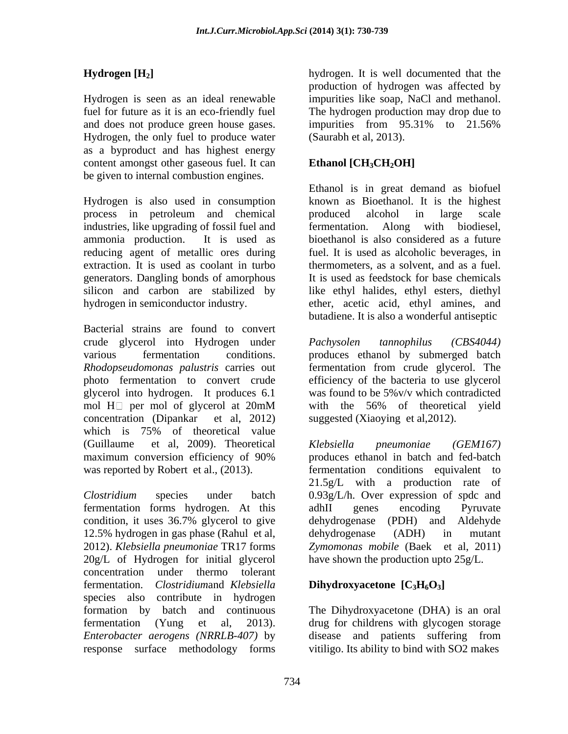Hydrogen is seen as an ideal renewable impurities like soap, NaCl and methanol. fuel for future as it is an eco-friendly fuel The hydrogen production may drop due to and does not produce green house gases. impurities from 95.31% to 21.56% Hydrogen, the only fuel to produce water as a byproduct and has highest energy content amongst other gaseous fuel. It can be given to internal combustion engines.

Hydrogen is also used in consumption known as Bioethanol. It is the highest process in petroleum and chemical industries, like upgrading of fossil fuel and fermentation. Along with biodiesel, ammonia production. It is used as bioethanol is also considered as a future reducing agent of metallic ores during extraction. It is used as coolant in turbo thermometers, as a solvent, and as a fuel. generators. Dangling bonds of amorphous silicon and carbon are stabilized by like ethyl halides, ethyl esters, diethyl hydrogen in semiconductor industry. **ether**, acetic acid, ethyl amines, and

Bacterial strains are found to convert crude glycerol into Hydrogen under *Pachysolen tannophilus (CBS4044)* various fermentation conditions. produces ethanol by submerged batch *Rhodopseudomonas palustris* carries out fermentation from crude glycerol. The photo fermentation to convert crude glycerol into hydrogen. It produces 6.1 was found to be 5%v/v which contradicted mol  $H\Box$  per mol of glycerol at 20mM with the 56% of theoretical yield concentration (Dipankar et al, 2012) which is 75% of theoretical value (Guillaume et al, 2009). Theoretical Klebsiella pneumoniae (GEM167)

fermentation forms hydrogen. At this condition, it uses 36.7% glycerol to give 12.5% hydrogen in gas phase (Rahul et al, dehydrogenase (ADH) in mutant 2012). *Klebsiella pneumoniae* TR17 forms 20g/L of Hydrogen for initial glycerol concentration under thermo tolerant fermentation. *Clostridium*and *Klebsiella* species also contribute in hydrogen formation by batch and continuous The Dihydroxyacetone (DHA) is an oral fermentation (Yung et al, 2013). drug for childrens with glycogen storage *Enterobacter aerogens (NRRLB-407)* by disease and patients suffering from

**Hydrogen [H<sub>2</sub>]** hydrogen. It is well documented that the production of hydrogen was affected by impurities from 95.31% to 21.56% (Saurabh et al, 2013).

# Ethanol [CH<sub>3</sub>CH<sub>2</sub>OH]

Ethanol is in great demand as biofuel produced alcohol in large scale fermentation. Along with biodiesel, fuel. It is used as alcoholic beverages, in It is used as feedstock for base chemicals butadiene. It is also a wonderful antiseptic

*Pachysolen tannophilus (CBS4044)*  efficiency of the bacteria to use glycerol with the 56% of theoretical yield suggested (Xiaoying et al,2012).

maximum conversion efficiency of 90% was reported by Robert et al., (2013). fermentation conditions equivalent to *Clostridium* species under batch 0.93g/L/h. Over expression of *s*pdc and *Klebsiella pneumoniae (GEM167)* produces ethanol in batch and fed-batch 21.5g/L with a production rate of adhII genes encoding Pyruvate dehydrogenase (PDH) and Aldehyde dehydrogenase (ADH) in mutant *Zymomonas mobile* (Baek et al, 2011) have shown the production upto 25g/L.

# **Dihydroxyacetone [C3H6O3]**

response surface methodology forms vitiligo. Its ability to bind with SO2 makes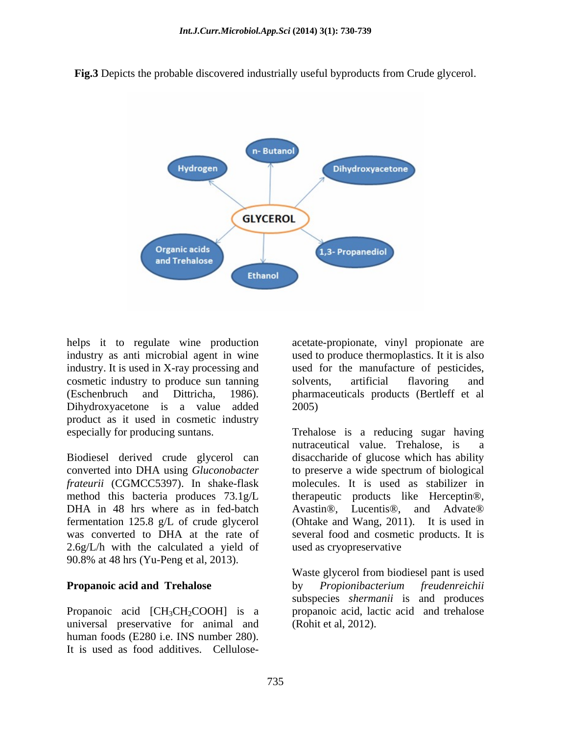**Fig.3** Depicts the probable discovered industrially useful byproducts from Crude glycerol.



helps it to regulate wine production acetate-propionate, vinyl propionate are cosmetic industry to produce sun tanning product as it used in cosmetic industry

Biodiesel derived crude glycerol can DHA in 48 hrs where as in fed-batch Avastin<sup>®</sup>. Lucentis<sup>®</sup>. and Advate<sup>®</sup> 2.6g/L/h with the calculated a yield of 90.8% at 48 hrs (Yu-Peng et al, 2013).

universal preservative for animal and human foods (E280 i.e. INS number 280).

industry as anti microbial agent in wine used to produce thermoplastics. It it is also industry. It is used in X-ray processing and used for the manufacture of pesticides, (Eschenbruch and Dittricha, 1986). pharmaceuticals products (Bertleff et al<br>Dihydroxyacetone is a value added 2005) solvents, artificial flavoring and pharmaceuticals products (Bertleff et al 2005)

especially for producing suntans. Trehalose is a reducing sugar having converted into DHA using *Gluconobacter* to preserve a wide spectrum of biological *frateurii* (CGMCC5397). In shake-flask molecules. It is used as stabilizer in method this bacteria produces  $73.1g/L$  therapeutic products like Herceptin®, fermentation 125.8 g/L of crude glycerol (Ohtake and Wang, 2011). It is used in was converted to DHA at the rate of several food and cosmetic products. It is Heps it to regulate wine production<br>
industry as anti microbial agent in wine<br>
industry. It is used in X-ray processing and used for the manufacture of pesticides,<br>
censentic industry to produce sun tanning solvents, artif nutraceutical value. Trehalose, is disaccharide of glucose which has ability Avastin®, Lucentis®, and Advate® used as cryopreservative

**Propanoic acid and Trehalose** by *Propionibacterium freudenreichii* Propanoic acid [CH<sub>3</sub>CH<sub>2</sub>COOH] is a propanoic acid, lactic acid and trehalose Waste glycerol from biodiesel pant is used by *Propionibacterium freudenreichii* subspecies *shermanii* is and produces (Rohit et al, 2012).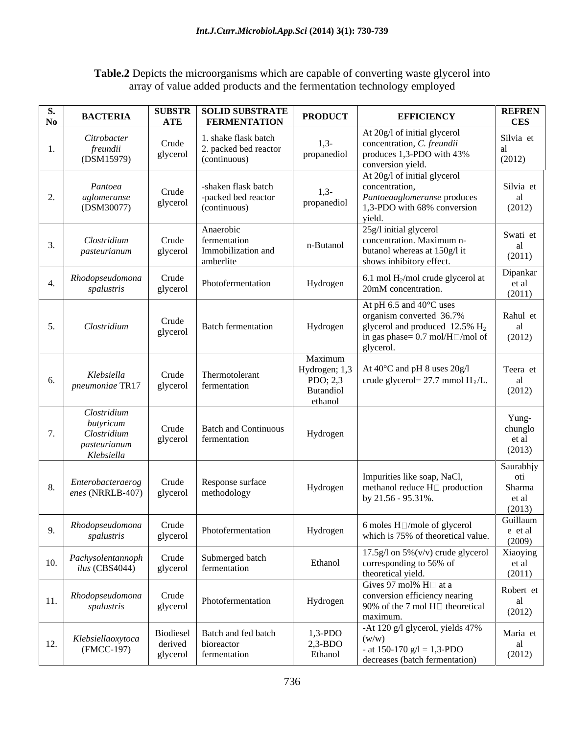# **Table.2** Depicts the microorganisms which are capable of converting waste glycerol into array of value added products and the fermentation technology employed

| <b>S.</b> | <b>BACTERL</b>                                                        | $\bf ATE$           | <b>SUBSTR   SOLID SUBSTRATE</b><br><b>FERMENTATION</b>        | <b>PRODUCT</b>                                               | <b>EFFICIENCY</b>                                                                                                                                                     | <b>REFREN</b><br><b>CES</b>                   |
|-----------|-----------------------------------------------------------------------|---------------------|---------------------------------------------------------------|--------------------------------------------------------------|-----------------------------------------------------------------------------------------------------------------------------------------------------------------------|-----------------------------------------------|
|           | Citrobacter<br>freundii<br>(DSM15979)                                 | Crude<br>glycerol   | . shake flask batch<br>. packed bed reactor<br>(continuous)   | $1,3-$<br>propanediol                                        | At 20g/l of initial glycerol<br>concentration, C. freundii<br>produces 1,3-PDO with 43%<br>conversion yield.                                                          | Silvia et<br>al<br>(2012)                     |
|           | Pantoea<br>aglomeranse<br>(DSM30077)                                  | Crude<br>glycerol   | -shaken flask batch<br>-packed bed reactor<br>(continuous)    | $1,3-$<br>propanediol                                        | At 20g/l of initial glycerol<br>concentration,<br>Pantoeaaglomeranse produces<br>1,3-PDO with 68% conversion<br>yield.                                                | Silvia et<br>al<br>(2012)                     |
|           | Clostridium<br>pasteurianum                                           | Crude<br>glycerol   | Anaerobic<br>fermentation<br>Immobilization and<br>amberlite  | n-Butanol                                                    | 25g/l initial glycerol<br>concentration. Maximum n-<br>butanol whereas at 150g/l it<br>shows inhibitory effect.                                                       | Swati et<br>al<br>(2011)                      |
|           | Rhodopseudomona<br>spalustris                                         | Crude<br>glycerol   | Photofermentation                                             | Hydrogen                                                     | 6.1 mol $H_2$ /mol crude glycerol at<br>20mM concentration.                                                                                                           | Dipankar<br>et al<br>(2011)                   |
|           | Clostridium                                                           | Crude<br>glycerol   | <b>Batch fermentation</b>                                     | Hydrogen                                                     | At pH 6.5 and $40^{\circ}$ C uses<br>organism converted 36.7%<br>glycerol and produced 12.5% H <sub>2</sub><br>in gas phase= $0.7 \text{ mol/H}$ /mol of<br>glycerol. | Rahul et<br>al<br>(2012)                      |
|           | Klebsiella<br>pneumoniae TR17                                         | Crude<br>glycerol   | Thermotolerant<br>fermentation                                | Maximum<br>Hydrogen; 1,3<br>PDO; 2,3<br>Butandiol<br>ethanol | At 40°C and pH 8 uses 20g/l<br>crude glycerol= $27.7$ mmol $H_2/L$ .                                                                                                  | Teera et<br>al<br>(2012)                      |
|           | Clostridium<br>butyricum<br>Clostridium<br>pasteurianum<br>Klebsiella | Crude<br>glycerol   | <b>Batch and Continuous</b><br>fermentation                   | Hydrogen                                                     |                                                                                                                                                                       | Yung-<br>chunglo<br>et al<br>(2013)           |
|           | Enterobacteraerog<br>enes (NRRLB-407)                                 | Crude               | Response surface<br>glycerol   methodology                    | Hydrogen                                                     | Impurities like soap, NaCl,<br>methanol reduce $H\Box$ production<br>by 21.56 - 95.31%.                                                                               | Saurabhjy<br>oti<br>Sharma<br>et al<br>(2013) |
|           | Rhodopseudomona<br>spalustris                                         | Crude<br>glycerol   | Photofermentation                                             | Hydrogen                                                     | 6 moles $H \square$ /mole of glycerol<br>which is 75% of theoretical value.                                                                                           | Guillaum<br>e et al<br>(2009)                 |
|           | Pachysolentannoph<br>ilus (CBS4044)                                   | Crude               | Submerged batch<br>glycerol fermentation                      | Ethanol                                                      | $17.5g/1$ on $5\%$ (v/v) crude glycerol<br>corresponding to 56% of<br>theoretical yield.                                                                              | Xiaoying<br>et al<br>(2011)                   |
|           | Rhodopseudomona<br>spalustris                                         | Crude<br>glycerol   | Photofermentation                                             | Hydrogen                                                     | Gives 97 mol% $H\Box$ at a<br>conversion efficiency nearing<br>90% of the 7 mol $H\Box$ theoretical<br>maximum.                                                       | Robert et<br>al<br>(2012)                     |
|           | Klebsiellaoxytoca<br>(FMCC-197)                                       | derived<br>glycerol | Biodiesel   Batch and fed batch<br>bioreactor<br>fermentation | $1,3-POO$<br>$2,3-BDO$<br>Ethanol                            | -At 120 g/l glycerol, yields 47%<br>(w/w)<br>- at 150-170 $g/l = 1,3$ -PDO<br>decreases (batch fermentation)                                                          | Maria et<br>al<br>(2012)                      |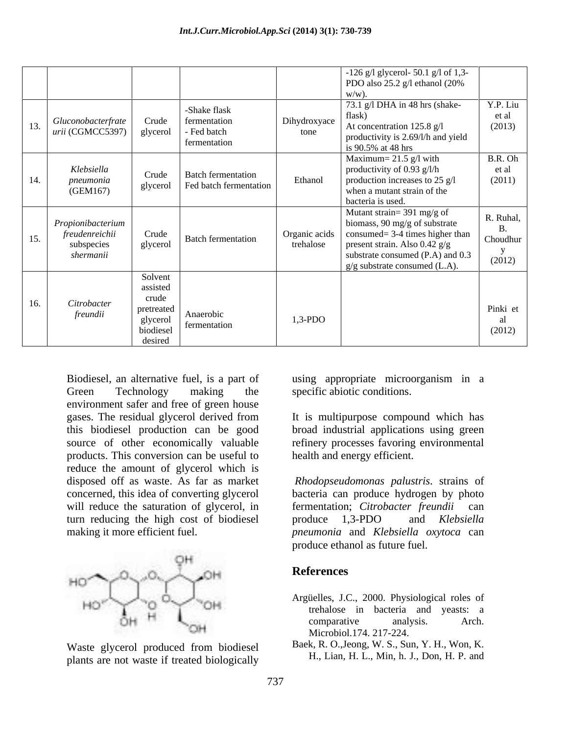|     |                                                                |                                                                                |                                                             |                            | -126 g/l glycerol- 50.1 g/l of 1,3-<br>PDO also 25.2 g/l ethanol (20%<br>$w/w$ ).                                                                                                                             |                                 |
|-----|----------------------------------------------------------------|--------------------------------------------------------------------------------|-------------------------------------------------------------|----------------------------|---------------------------------------------------------------------------------------------------------------------------------------------------------------------------------------------------------------|---------------------------------|
| 13. | Gluconobacterfrate<br>urii (CGMCC5397)                         | Crude<br>glycerol                                                              | -Shake flask<br>fermentation<br>- Fed batch<br>fermentation | Dihydroxyace<br>tone       | 73.1 g/l DHA in 48 hrs (shake-<br>flask)<br>At concentration 125.8 g/l<br>productivity is 2.69/l/h and yield<br>is 90.5% at 48 hrs                                                                            | Y.P. Liu<br>et al<br>(2013)     |
| 14. | Klebsiella<br>pneumonia<br>(GEM167)                            | Crude<br>glycerol                                                              | <b>Batch fermentation</b><br>Fed batch fermentation         | Ethanol                    | Maximum= $21.5$ g/l with<br>productivity of $0.93$ g/l/h<br>production increases to $25$ g/l<br>when a mutant strain of the<br>bacteria is used.                                                              | B.R. Oh<br>et al<br>(2011)      |
| 15. | Propionibacterium<br>freudenreichii<br>subspecies<br>shermanii | Crude<br>glycerol                                                              | <b>Batch fermentation</b>                                   | Organic acids<br>trehalose | Mutant strain= 391 mg/g of<br>biomass, 90 mg/g of substrate<br>$\cos\theta = 3-4$ times higher than<br>present strain. Also $0.42$ g/g<br>substrate consumed (P.A) and 0.3<br>$g/g$ substrate consumed (L.A). | R. Ruhal,<br>Choudhur<br>(2012) |
| 16. | Citrobacter<br>freundii                                        | Solvent<br>assisted<br>crude<br>pretreated<br>glycerol<br>biodiesel<br>desired | Anaerobic<br>fermentation                                   | $1,3-PDO$                  |                                                                                                                                                                                                               | Pinki et<br>(2012)              |

Green Technology making the specific abiotic conditions. environment safer and free of green house gases. The residual glycerol derived from this biodiesel production can be good source of other economically valuable refinery processes favoring environmental products. This conversion can be useful to reduce the amount of glycerol which is disposed off as waste. As far as market *Rhodopseudomonas palustris*. strains of concerned, this idea of converting glycerol bacteria can produce hydrogen by photo will reduce the saturation of glycerol, in fermentation; Citrobacter freundii can turn reducing the high cost of biodiesel produce 1,3-PDO and Klebsiella



Waste glycerol produced from biodiesel plants are not waste if treated biologically

Biodiesel, an alternative fuel, is a part of using appropriate microorganism in a specific abiotic conditions.

> It is multipurpose compound which has broad industrial applications using green health and energy efficient.

making it more efficient fuel. *pneumonia* and *Klebsiella oxytoca* can fermentation; *Citrobacter freundii* produce 1,3-PDO and *Klebsiella*  produce ethanol as future fuel.

## **References**

- Argüelles, J.C., 2000. Physiological roles of trehalose in bacteria and yeasts: a comparative analysis. Arch. Microbiol.174. 217-224.
- Baek, R. O.,Jeong, W. S., Sun, Y. H., Won, K. H., Lian, H. L., Min, h. J., Don, H. P. and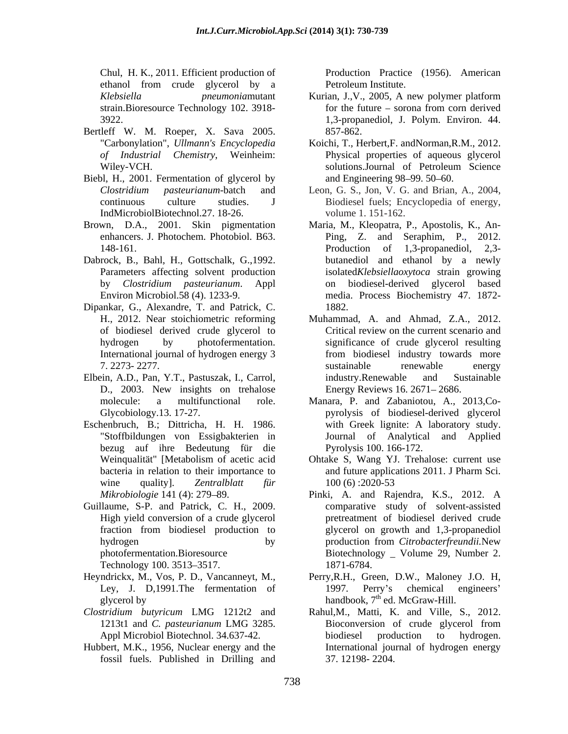Chul, H. K., 2011. Efficient production of Production Practice (1956). American ethanol from crude glycerol by a

- Bertleff W. M. Roeper, X. Sava 2005.
- Biebl, H., 2001. Fermentation of glycerol by IndMicrobiolBiotechnol.27. 18-26.
- 
- Dabrock, B., Bahl, H., Gottschalk, G.,1992.
- Dipankar, G., Alexandre, T. and Patrick, C. of biodiesel derived crude glycerol to
- Elbein, A.D., Pan, Y.T., Pastuszak, I., Carrol,
- Eschenbruch, B.; Dittricha, H. H. 1986. "Stoffbildungen von Essigbakterien in bezug auf ihre Bedeutung für die
- Guillaume, S-P. and Patrick, C. H., 2009. Technology 100. 3513–3517. 1871-6784.
- Heyndrickx, M., Vos, P. D., Vancanneyt, M.,
- 
- Hubbert, M.K., 1956, Nuclear energy and the fossil fuels. Published in Drilling and

Petroleum Institute.

- *Klebsiella pneumonia*mutant Kurian, J.,V., 2005, A new polymer platform strain.Bioresource Technology 102. 3918- for the future – sorona from corn derived 3922. 1,3-propanediol, J. Polym. Environ. 44. 857-862.
- "Carbonylation", *Ullmann's Encyclopedia* Koichi, T., Herbert,F. andNorman,R.M., 2012. *of Industrial Chemistry*, Weinheim: Physical properties of aqueous glycerol Wiley-VCH. Solutions.Journal of Petroleum Science solutions.Journal of Petroleum Science and Engineering 98–99. 50–60.
- *Clostridium pasteurianum*-batch and Leon, G. S., Jon, V. G. and Brian, A., 2004, continuous culture studies. J Biodiesel fuels; Encyclopedia of energy, volume 1. 151-162.
- Brown, D.A., 2001. Skin pigmentation Maria, M., Kleopatra, P., Apostolis, K., An enhancers. J. Photochem. Photobiol. B63. Ping, Z. and Seraphim, P., 2012. 148-161. Production of 1,3-propanediol, 2,3-Parameters affecting solvent production isolated*Klebsiellaoxytoca* strain growing by *Clostridium pasteurianum*. Appl on biodiesel-derived glycerol based Environ Microbiol.58 (4). 1233-9. media. Process Biochemistry 47. 1872- Ping, Z. and Seraphim, P., 2012. Production of 1,3-propanediol, 2,3 butanediol and ethanol by a newly 1882.
	- H., 2012. Near stoichiometric reforming Muhammad, A. and Ahmad, Z.A., 2012. hydrogen by photofermentation. significance of crude glycerol resulting International journal of hydrogen energy 3 7. 2273- 2277. D., 2003. New insights on trehalose Energy Reviews 16. 2671–2686. Critical review on the current scenario and from biodiesel industry towards more sustainable renewable energy industry.Renewable and Sustainable Energy Reviews 16. 2671–2686.
	- molecule: a multifunctional role. Manara, P. and Zabaniotou, A., 2013,Co- Glycobiology.13. 17-27. pyrolysis of biodiesel-derived glycerol with Greek lignite: A laboratory study. Journal of Analytical and Applied Pyrolysis 100. 166-172.
	- Weinqualität" [Metabolism of acetic acid Ohtake S, Wang YJ. Trehalose: current use bacteria in relation to their importance to and future applications 2011. J Pharm Sci. wine quality]. *Zentralblatt für* and future applications 2011. J Pharm Sci. 100 (6) :2020-53
	- *Mikrobiologie* 141 (4): 279 89. Pinki, A. and Rajendra, K.S., 2012. A High yield conversion of a crude glycerol pretreatment of biodiesel derived crude fraction from biodiesel production to glycerol on growth and 1,3-propanediol hydrogen by by production from *Citrobacterfreundii*.New photofermentation.Bioresource Biotechnology \_ Volume 29, Number 2. comparative study of solvent-assisted production from *Citrobacterfreundii.*New 1871-6784.
	- Ley, J. D,1991. The fermentation of 1997. Perry's chemical engineers' glycerol by  $h$ andbook,  $7<sup>th</sup>$  ed. McGraw-Hill. Perry,R.H., Green, D.W., Maloney J.O. H, 1997. Perry's chemical engineers'
- *Clostridium butyricum* LMG 1212t2 and Rahul,M., Matti, K. and Ville, S., 2012. 1213t1 and *C. pasteurianum* LMG 3285. Appl Microbiol Biotechnol. 34.637-42. biodiesel production to hydrogen. Bioconversion of crude glycerol from biodiesel production to hydrogen. International journal of hydrogen energy 37. 12198- 2204.